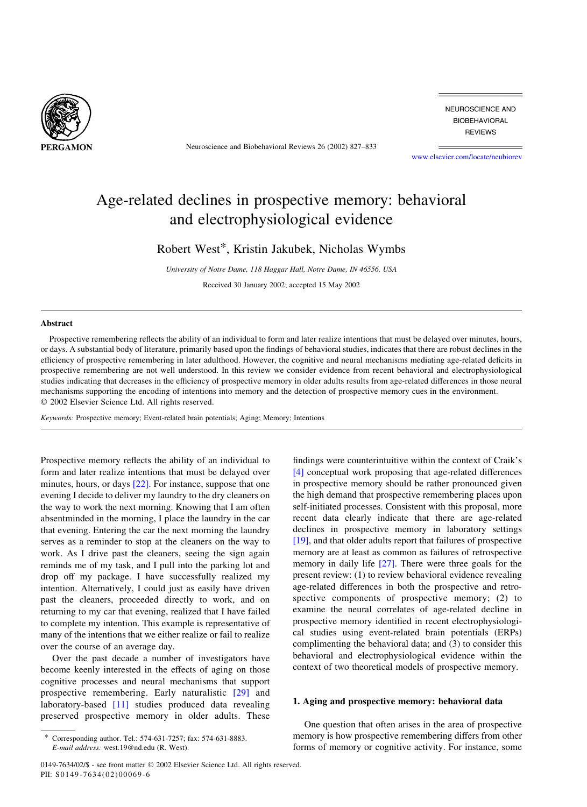

Neuroscience and Biobehavioral Reviews 26 (2002) 827–833

NEUROSCIENCE AND **BIOBEHAVIORAL REVIEWS** 

[www.elsevier.com/locate/neubiorev](http://www.elsevier.com/locate/neubiorev)

## Age-related declines in prospective memory: behavioral and electrophysiological evidence

Robert West\*, Kristin Jakubek, Nicholas Wymbs

University of Notre Dame, 118 Haggar Hall, Notre Dame, IN 46556, USA Received 30 January 2002; accepted 15 May 2002

## Abstract

Prospective remembering reflects the ability of an individual to form and later realize intentions that must be delayed over minutes, hours, or days. A substantial body of literature, primarily based upon the findings of behavioral studies, indicates that there are robust declines in the efficiency of prospective remembering in later adulthood. However, the cognitive and neural mechanisms mediating age-related deficits in prospective remembering are not well understood. In this review we consider evidence from recent behavioral and electrophysiological studies indicating that decreases in the efficiency of prospective memory in older adults results from age-related differences in those neural mechanisms supporting the encoding of intentions into memory and the detection of prospective memory cues in the environment.  $©$  2002 Elsevier Science Ltd. All rights reserved.

Keywords: Prospective memory; Event-related brain potentials; Aging; Memory; Intentions

Prospective memory reflects the ability of an individual to form and later realize intentions that must be delayed over minutes, hours, or days [\[22\]](#page--1-0). For instance, suppose that one evening I decide to deliver my laundry to the dry cleaners on the way to work the next morning. Knowing that I am often absentminded in the morning, I place the laundry in the car that evening. Entering the car the next morning the laundry serves as a reminder to stop at the cleaners on the way to work. As I drive past the cleaners, seeing the sign again reminds me of my task, and I pull into the parking lot and drop off my package. I have successfully realized my intention. Alternatively, I could just as easily have driven past the cleaners, proceeded directly to work, and on returning to my car that evening, realized that I have failed to complete my intention. This example is representative of many of the intentions that we either realize or fail to realize over the course of an average day.

Over the past decade a number of investigators have become keenly interested in the effects of aging on those cognitive processes and neural mechanisms that support prospective remembering. Early naturalistic [\[29\]](#page--1-0) and laboratory-based [\[11\]](#page--1-0) studies produced data revealing preserved prospective memory in older adults. These

Corresponding author. Tel.: 574-631-7257; fax: 574-631-8883. E-mail address: west.19@nd.edu (R. West).

findings were counterintuitive within the context of Craik's [\[4\]](#page--1-0) conceptual work proposing that age-related differences in prospective memory should be rather pronounced given the high demand that prospective remembering places upon self-initiated processes. Consistent with this proposal, more recent data clearly indicate that there are age-related declines in prospective memory in laboratory settings [\[19\]](#page--1-0), and that older adults report that failures of prospective memory are at least as common as failures of retrospective memory in daily life [\[27\].](#page--1-0) There were three goals for the present review: (1) to review behavioral evidence revealing age-related differences in both the prospective and retrospective components of prospective memory; (2) to examine the neural correlates of age-related decline in prospective memory identified in recent electrophysiological studies using event-related brain potentials (ERPs) complimenting the behavioral data; and (3) to consider this behavioral and electrophysiological evidence within the context of two theoretical models of prospective memory.

## 1. Aging and prospective memory: behavioral data

One question that often arises in the area of prospective memory is how prospective remembering differs from other forms of memory or cognitive activity. For instance, some

<sup>0149-7634/02/\$ -</sup> see front matter q 2002 Elsevier Science Ltd. All rights reserved. PII:  $S0149 - 7634(02)00069 - 6$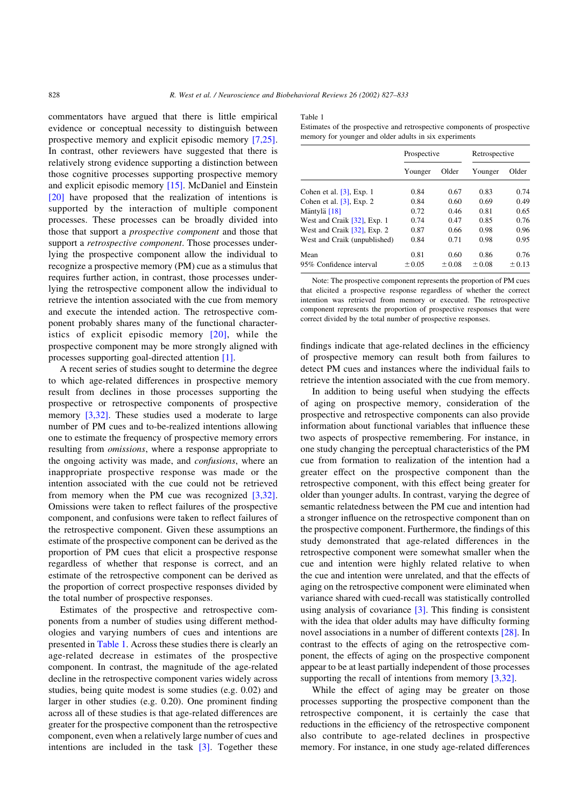commentators have argued that there is little empirical evidence or conceptual necessity to distinguish between prospective memory and explicit episodic memory [\[7,25\]](#page--1-0). In contrast, other reviewers have suggested that there is relatively strong evidence supporting a distinction between those cognitive processes supporting prospective memory and explicit episodic memory [\[15\].](#page--1-0) McDaniel and Einstein [\[20\]](#page--1-0) have proposed that the realization of intentions is supported by the interaction of multiple component processes. These processes can be broadly divided into those that support a prospective component and those that support a *retrospective component*. Those processes underlying the prospective component allow the individual to recognize a prospective memory (PM) cue as a stimulus that requires further action, in contrast, those processes underlying the retrospective component allow the individual to retrieve the intention associated with the cue from memory and execute the intended action. The retrospective component probably shares many of the functional characteristics of explicit episodic memory [\[20\],](#page--1-0) while the prospective component may be more strongly aligned with processes supporting goal-directed attention [\[1\]](#page--1-0).

A recent series of studies sought to determine the degree to which age-related differences in prospective memory result from declines in those processes supporting the prospective or retrospective components of prospective memory [\[3,32\]](#page--1-0). These studies used a moderate to large number of PM cues and to-be-realized intentions allowing one to estimate the frequency of prospective memory errors resulting from omissions, where a response appropriate to the ongoing activity was made, and *confusions*, where an inappropriate prospective response was made or the intention associated with the cue could not be retrieved from memory when the PM cue was recognized [\[3,32\]](#page--1-0). Omissions were taken to reflect failures of the prospective component, and confusions were taken to reflect failures of the retrospective component. Given these assumptions an estimate of the prospective component can be derived as the proportion of PM cues that elicit a prospective response regardless of whether that response is correct, and an estimate of the retrospective component can be derived as the proportion of correct prospective responses divided by the total number of prospective responses.

Estimates of the prospective and retrospective components from a number of studies using different methodologies and varying numbers of cues and intentions are presented in Table 1. Across these studies there is clearly an age-related decrease in estimates of the prospective component. In contrast, the magnitude of the age-related decline in the retrospective component varies widely across studies, being quite modest is some studies (e.g. 0.02) and larger in other studies (e.g. 0.20). One prominent finding across all of these studies is that age-related differences are greater for the prospective component than the retrospective component, even when a relatively large number of cues and intentions are included in the task  $[3]$ . Together these

Table 1

Estimates of the prospective and retrospective components of prospective memory for younger and older adults in six experiments

|                              | Prospective |            | Retrospective |        |
|------------------------------|-------------|------------|---------------|--------|
|                              | Younger     | Older      | Younger       | Older  |
| Cohen et al. $[3]$ , Exp. 1  | 0.84        | 0.67       | 0.83          | 0.74   |
| Cohen et al. $[3]$ , Exp. 2  | 0.84        | 0.60       | 0.69          | 0.49   |
| Mäntylä [18]                 | 0.72        | 0.46       | 0.81          | 0.65   |
| West and Craik [32], Exp. 1  | 0.74        | 0.47       | 0.85          | 0.76   |
| West and Craik [32], Exp. 2  | 0.87        | 0.66       | 0.98          | 0.96   |
| West and Craik (unpublished) | 0.84        | 0.71       | 0.98          | 0.95   |
| Mean                         | 0.81        | 0.60       | 0.86          | 0.76   |
| 95% Confidence interval      | ± 0.05      | $\pm 0.08$ | $\pm 0.08$    | ± 0.13 |

Note: The prospective component represents the proportion of PM cues that elicited a prospective response regardless of whether the correct intention was retrieved from memory or executed. The retrospective component represents the proportion of prospective responses that were correct divided by the total number of prospective responses.

findings indicate that age-related declines in the efficiency of prospective memory can result both from failures to detect PM cues and instances where the individual fails to retrieve the intention associated with the cue from memory.

In addition to being useful when studying the effects of aging on prospective memory, consideration of the prospective and retrospective components can also provide information about functional variables that influence these two aspects of prospective remembering. For instance, in one study changing the perceptual characteristics of the PM cue from formation to realization of the intention had a greater effect on the prospective component than the retrospective component, with this effect being greater for older than younger adults. In contrast, varying the degree of semantic relatedness between the PM cue and intention had a stronger influence on the retrospective component than on the prospective component. Furthermore, the findings of this study demonstrated that age-related differences in the retrospective component were somewhat smaller when the cue and intention were highly related relative to when the cue and intention were unrelated, and that the effects of aging on the retrospective component were eliminated when variance shared with cued-recall was statistically controlled using analysis of covariance [\[3\]](#page--1-0). This finding is consistent with the idea that older adults may have difficulty forming novel associations in a number of different contexts [\[28\]](#page--1-0). In contrast to the effects of aging on the retrospective component, the effects of aging on the prospective component appear to be at least partially independent of those processes supporting the recall of intentions from memory [\[3,32\].](#page--1-0)

While the effect of aging may be greater on those processes supporting the prospective component than the retrospective component, it is certainly the case that reductions in the efficiency of the retrospective component also contribute to age-related declines in prospective memory. For instance, in one study age-related differences